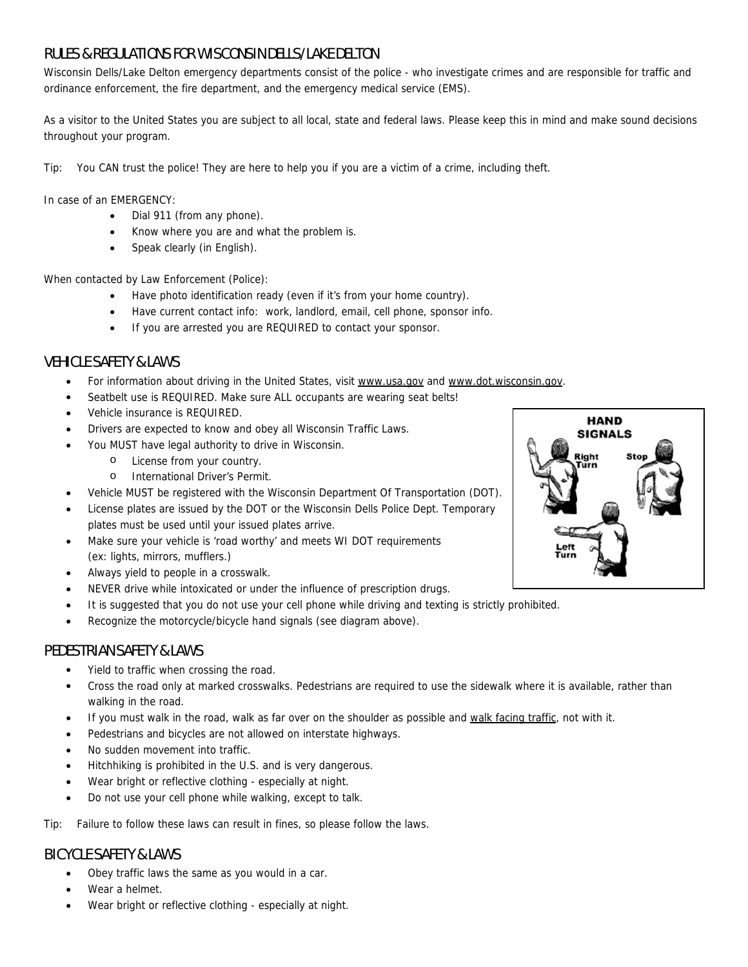# RULES & REGULATIONS FOR WISCONSIN DELLS/LAKE DELTON

Wisconsin Dells/Lake Delton emergency departments consist of the police - who investigate crimes and are responsible for traffic and ordinance enforcement, the fire department, and the emergency medical service (EMS).

As a visitor to the United States you are subject to all local, state and federal laws. Please keep this in mind and make sound decisions throughout your program.

Tip: You CAN trust the police! They are here to help you if you are a victim of a crime, including theft.

In case of an EMERGENCY:

- Dial 911 (from any phone).
- Know where you are and what the problem is.
- Speak clearly (in English).

When contacted by Law Enforcement (Police):

- Have photo identification ready (even if it's from your home country).
- Have current contact info: work, landlord, email, cell phone, sponsor info.
- If you are arrested you are REQUIRED to contact your sponsor.

## VEHICLE SAFETY & LAWS

- For information about driving in the United States, visit www.usa.gov and www.dot.wisconsin.gov.
- Seatbelt use is REQUIRED. Make sure ALL occupants are wearing seat belts!
- Vehicle insurance is REQUIRED.
- Drivers are expected to know and obey all Wisconsin Traffic Laws.
- You MUST have legal authority to drive in Wisconsin.
	- o License from your country.
	- o International Driver's Permit.
- Vehicle MUST be registered with the Wisconsin Department Of Transportation (DOT).
- License plates are issued by the DOT or the Wisconsin Dells Police Dept. Temporary plates must be used until your issued plates arrive.
- Make sure your vehicle is 'road worthy' and meets WI DOT requirements (ex: lights, mirrors, mufflers.)
- Always yield to people in a crosswalk.
- NEVER drive while intoxicated or under the influence of prescription drugs.
- It is suggested that you do not use your cell phone while driving and texting is strictly prohibited.
- Recognize the motorcycle/bicycle hand signals (see diagram above).

## PEDESTRIAN SAFETY & LAWS

- Yield to traffic when crossing the road.
- Cross the road only at marked crosswalks. Pedestrians are required to use the sidewalk where it is available, rather than walking in the road.
- If you must walk in the road, walk as far over on the shoulder as possible and walk facing traffic, not with it.
- Pedestrians and bicycles are not allowed on interstate highways.
- No sudden movement into traffic.
- Hitchhiking is prohibited in the U.S. and is very dangerous.
- Wear bright or reflective clothing especially at night.
- Do not use your cell phone while walking, except to talk.

Tip: Failure to follow these laws can result in fines, so please follow the laws.

## BICYCLE SAFETY & LAWS

- Obey traffic laws the same as you would in a car.
- Wear a helmet.
- Wear bright or reflective clothing especially at night.